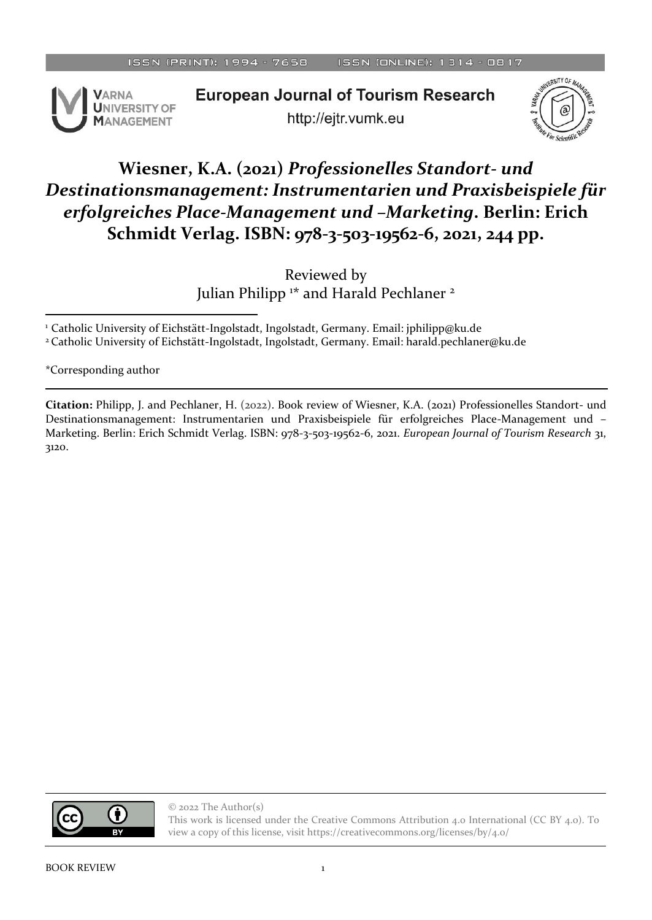

**European Journal of Tourism Research** http://ejtr.vumk.eu



## **Wiesner, K.A. (2021)** *Professionelles Standort- und Destinationsmanagement: Instrumentarien und Praxisbeispiele für erfolgreiches Place-Management und –Marketing***. Berlin: Erich Schmidt Verlag. ISBN: 978-3-503-19562-6, 2021, 244 pp.**

Reviewed by Julian Philipp <sup>1\*</sup> and Harald Pechlaner <sup>2</sup>

<sup>1</sup> Catholic University of Eichstätt-Ingolstadt, Ingolstadt, Germany. Email: jphilipp@ku.de <sup>2</sup>Catholic University of Eichstätt-Ingolstadt, Ingolstadt, Germany. Email: harald.pechlaner@ku.de

\*Corresponding author

**Citation:** Philipp, J. and Pechlaner, H. (2022). Book review of Wiesner, K.A. (2021) Professionelles Standort- und Destinationsmanagement: Instrumentarien und Praxisbeispiele für erfolgreiches Place-Management und – Marketing. Berlin: Erich Schmidt Verlag. ISBN: 978-3-503-19562-6, 2021. *European Journal of Tourism Research* 31, 3120.

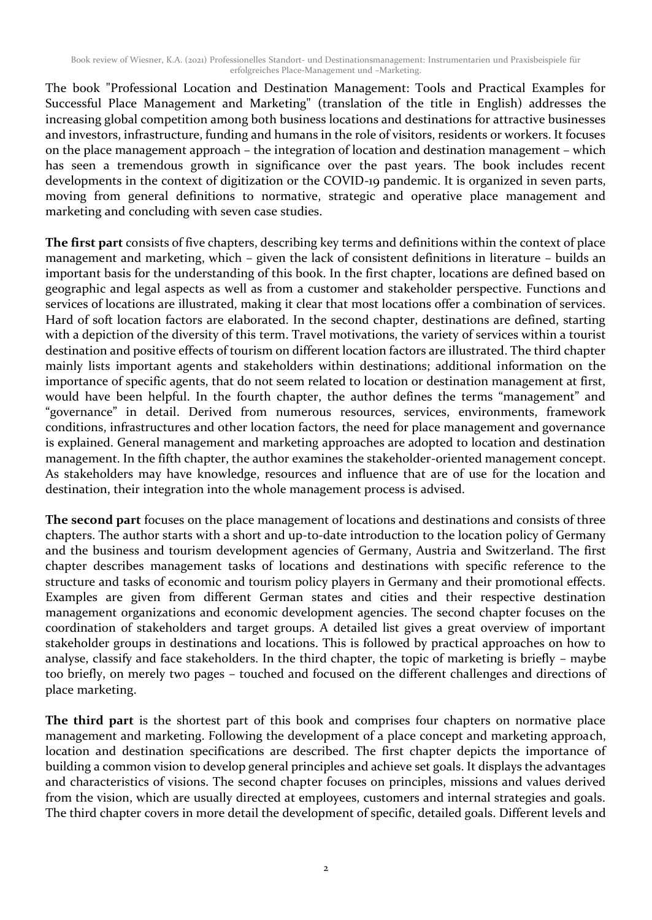The book "Professional Location and Destination Management: Tools and Practical Examples for Successful Place Management and Marketing" (translation of the title in English) addresses the increasing global competition among both business locations and destinations for attractive businesses and investors, infrastructure, funding and humans in the role of visitors, residents or workers. It focuses on the place management approach – the integration of location and destination management – which has seen a tremendous growth in significance over the past years. The book includes recent developments in the context of digitization or the COVID-19 pandemic. It is organized in seven parts, moving from general definitions to normative, strategic and operative place management and marketing and concluding with seven case studies.

**The first part** consists of five chapters, describing key terms and definitions within the context of place management and marketing, which – given the lack of consistent definitions in literature – builds an important basis for the understanding of this book. In the first chapter, locations are defined based on geographic and legal aspects as well as from a customer and stakeholder perspective. Functions and services of locations are illustrated, making it clear that most locations offer a combination of services. Hard of soft location factors are elaborated. In the second chapter, destinations are defined, starting with a depiction of the diversity of this term. Travel motivations, the variety of services within a tourist destination and positive effects of tourism on different location factors are illustrated. The third chapter mainly lists important agents and stakeholders within destinations; additional information on the importance of specific agents, that do not seem related to location or destination management at first, would have been helpful. In the fourth chapter, the author defines the terms "management" and "governance" in detail. Derived from numerous resources, services, environments, framework conditions, infrastructures and other location factors, the need for place management and governance is explained. General management and marketing approaches are adopted to location and destination management. In the fifth chapter, the author examines the stakeholder-oriented management concept. As stakeholders may have knowledge, resources and influence that are of use for the location and destination, their integration into the whole management process is advised.

**The second part** focuses on the place management of locations and destinations and consists of three chapters. The author starts with a short and up-to-date introduction to the location policy of Germany and the business and tourism development agencies of Germany, Austria and Switzerland. The first chapter describes management tasks of locations and destinations with specific reference to the structure and tasks of economic and tourism policy players in Germany and their promotional effects. Examples are given from different German states and cities and their respective destination management organizations and economic development agencies. The second chapter focuses on the coordination of stakeholders and target groups. A detailed list gives a great overview of important stakeholder groups in destinations and locations. This is followed by practical approaches on how to analyse, classify and face stakeholders. In the third chapter, the topic of marketing is briefly – maybe too briefly, on merely two pages – touched and focused on the different challenges and directions of place marketing.

**The third part** is the shortest part of this book and comprises four chapters on normative place management and marketing. Following the development of a place concept and marketing approach, location and destination specifications are described. The first chapter depicts the importance of building a common vision to develop general principles and achieve set goals. It displays the advantages and characteristics of visions. The second chapter focuses on principles, missions and values derived from the vision, which are usually directed at employees, customers and internal strategies and goals. The third chapter covers in more detail the development of specific, detailed goals. Different levels and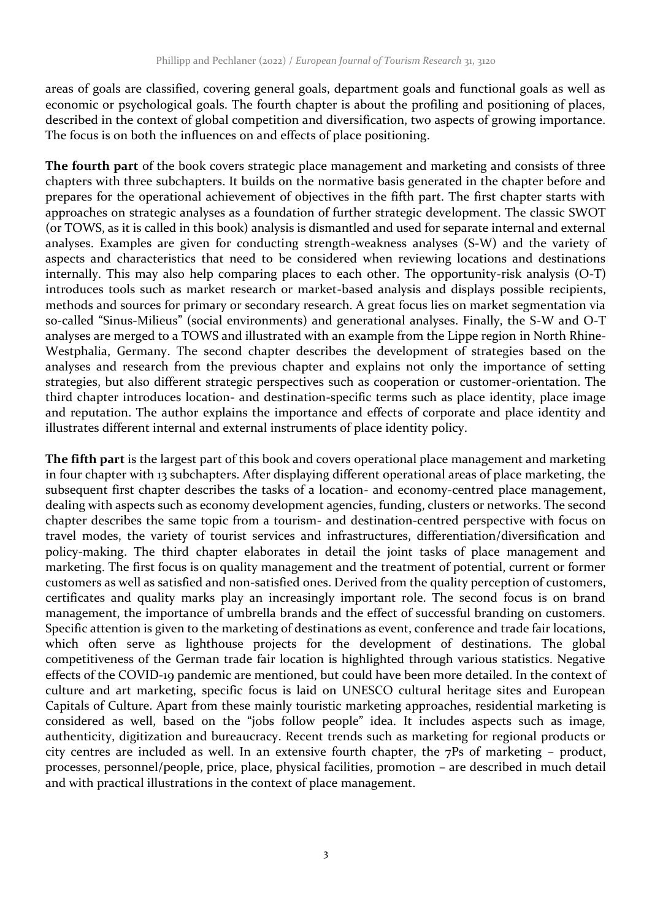areas of goals are classified, covering general goals, department goals and functional goals as well as economic or psychological goals. The fourth chapter is about the profiling and positioning of places, described in the context of global competition and diversification, two aspects of growing importance. The focus is on both the influences on and effects of place positioning.

**The fourth part** of the book covers strategic place management and marketing and consists of three chapters with three subchapters. It builds on the normative basis generated in the chapter before and prepares for the operational achievement of objectives in the fifth part. The first chapter starts with approaches on strategic analyses as a foundation of further strategic development. The classic SWOT (or TOWS, as it is called in this book) analysis is dismantled and used for separate internal and external analyses. Examples are given for conducting strength-weakness analyses (S-W) and the variety of aspects and characteristics that need to be considered when reviewing locations and destinations internally. This may also help comparing places to each other. The opportunity-risk analysis (O-T) introduces tools such as market research or market-based analysis and displays possible recipients, methods and sources for primary or secondary research. A great focus lies on market segmentation via so-called "Sinus-Milieus" (social environments) and generational analyses. Finally, the S-W and O-T analyses are merged to a TOWS and illustrated with an example from the Lippe region in North Rhine-Westphalia, Germany. The second chapter describes the development of strategies based on the analyses and research from the previous chapter and explains not only the importance of setting strategies, but also different strategic perspectives such as cooperation or customer-orientation. The third chapter introduces location- and destination-specific terms such as place identity, place image and reputation. The author explains the importance and effects of corporate and place identity and illustrates different internal and external instruments of place identity policy.

**The fifth part** is the largest part of this book and covers operational place management and marketing in four chapter with 13 subchapters. After displaying different operational areas of place marketing, the subsequent first chapter describes the tasks of a location- and economy-centred place management, dealing with aspects such as economy development agencies, funding, clusters or networks. The second chapter describes the same topic from a tourism- and destination-centred perspective with focus on travel modes, the variety of tourist services and infrastructures, differentiation/diversification and policy-making. The third chapter elaborates in detail the joint tasks of place management and marketing. The first focus is on quality management and the treatment of potential, current or former customers as well as satisfied and non-satisfied ones. Derived from the quality perception of customers, certificates and quality marks play an increasingly important role. The second focus is on brand management, the importance of umbrella brands and the effect of successful branding on customers. Specific attention is given to the marketing of destinations as event, conference and trade fair locations, which often serve as lighthouse projects for the development of destinations. The global competitiveness of the German trade fair location is highlighted through various statistics. Negative effects of the COVID-19 pandemic are mentioned, but could have been more detailed. In the context of culture and art marketing, specific focus is laid on UNESCO cultural heritage sites and European Capitals of Culture. Apart from these mainly touristic marketing approaches, residential marketing is considered as well, based on the "jobs follow people" idea. It includes aspects such as image, authenticity, digitization and bureaucracy. Recent trends such as marketing for regional products or city centres are included as well. In an extensive fourth chapter, the  $7Ps$  of marketing – product, processes, personnel/people, price, place, physical facilities, promotion – are described in much detail and with practical illustrations in the context of place management.